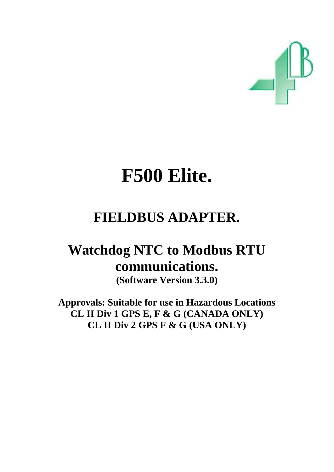

# **F500 Elite.**

## **FIELDBUS ADAPTER.**

## **Watchdog NTC to Modbus RTU communications.**

**(Software Version 3.3.0)** 

**Approvals: Suitable for use in Hazardous Locations CL II Div 1 GPS E, F & G (CANADA ONLY) CL II Div 2 GPS F & G (USA ONLY)**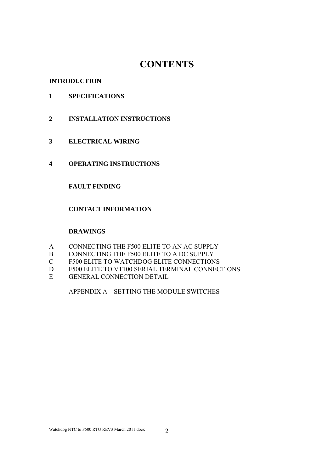## **CONTENTS**

#### **INTRODUCTION**

#### **1 SPECIFICATIONS**

- **2 INSTALLATION INSTRUCTIONS**
- **3 ELECTRICAL WIRING**
- **4 OPERATING INSTRUCTIONS**

#### **FAULT FINDING**

#### **CONTACT INFORMATION**

#### **DRAWINGS**

- A CONNECTING THE F500 ELITE TO AN AC SUPPLY
- B CONNECTING THE F500 ELITE TO A DC SUPPLY
- C F500 ELITE TO WATCHDOG ELITE CONNECTIONS
- D F500 ELITE TO VT100 SERIAL TERMINAL CONNECTIONS
- E GENERAL CONNECTION DETAIL

APPENDIX A – SETTING THE MODULE SWITCHES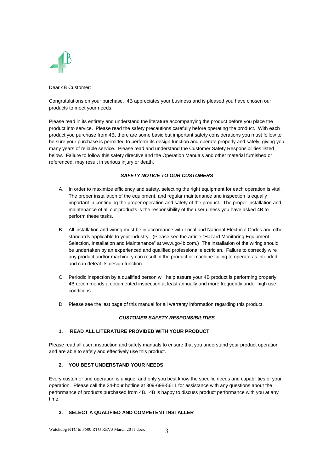

Dear 4B Customer:

Congratulations on your purchase. 4B appreciates your business and is pleased you have chosen our products to meet your needs.

Please read in its entirety and understand the literature accompanying the product before you place the product into service. Please read the safety precautions carefully before operating the product. With each product you purchase from 4B, there are some basic but important safety considerations you must follow to be sure your purchase is permitted to perform its design function and operate properly and safely, giving you many years of reliable service. Please read and understand the Customer Safety Responsibilities listed below. Failure to follow this safety directive and the Operation Manuals and other material furnished or referenced, may result in serious injury or death.

#### *SAFETY NOTICE TO OUR CUSTOMERS*

- A. In order to maximize efficiency and safety, selecting the right equipment for each operation is vital. The proper installation of the equipment, and regular maintenance and inspection is equally important in continuing the proper operation and safety of the product. The proper installation and maintenance of all our products is the responsibility of the user unless you have asked 4B to perform these tasks.
- B. All installation and wiring must be in accordance with Local and National Electrical Codes and other standards applicable to your industry. (Please see the article "Hazard Monitoring Equipment Selection, Installation and Maintenance" at www.go4b.com.) The installation of the wiring should be undertaken by an experienced and qualified professional electrician. Failure to correctly wire any product and/or machinery can result in the product or machine failing to operate as intended, and can defeat its design function.
- C. Periodic inspection by a qualified person will help assure your 4B product is performing properly. 4B recommends a documented inspection at least annually and more frequently under high use conditions.
- D. Please see the last page of this manual for all warranty information regarding this product.

#### *CUSTOMER SAFETY RESPONSIBILITIES*

#### **1. READ ALL LITERATURE PROVIDED WITH YOUR PRODUCT**

Please read all user, instruction and safety manuals to ensure that you understand your product operation and are able to safely and effectively use this product.

#### **2. YOU BEST UNDERSTAND YOUR NEEDS**

Every customer and operation is unique, and only you best know the specific needs and capabilities of your operation. Please call the 24-hour hotline at 309-698-5611 for assistance with any questions about the performance of products purchased from 4B. 4B is happy to discuss product performance with you at any time.

#### **3. SELECT A QUALIFIED AND COMPETENT INSTALLER**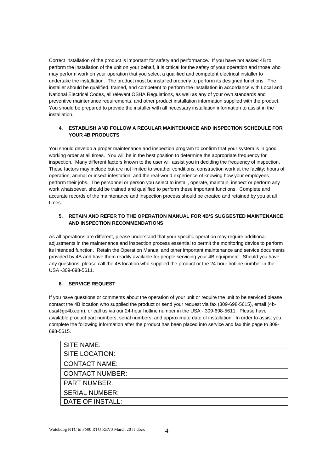Correct installation of the product is important for safety and performance. If you have not asked 4B to perform the installation of the unit on your behalf, it is critical for the safety of your operation and those who may perform work on your operation that you select a qualified and competent electrical installer to undertake the installation. The product must be installed properly to perform its designed functions. The installer should be qualified, trained, and competent to perform the installation in accordance with Local and National Electrical Codes, all relevant OSHA Regulations, as well as any of your own standards and preventive maintenance requirements, and other product installation information supplied with the product. You should be prepared to provide the installer with all necessary installation information to assist in the installation.

#### **4. ESTABLISH AND FOLLOW A REGULAR MAINTENANCE AND INSPECTION SCHEDULE FOR YOUR 4B PRODUCTS**

You should develop a proper maintenance and inspection program to confirm that your system is in good working order at all times. You will be in the best position to determine the appropriate frequency for inspection. Many different factors known to the user will assist you in deciding the frequency of inspection. These factors may include but are not limited to weather conditions; construction work at the facility; hours of operation; animal or insect infestation; and the real-world experience of knowing how your employees perform their jobs. The personnel or person you select to install, operate, maintain, inspect or perform any work whatsoever, should be trained and qualified to perform these important functions. Complete and accurate records of the maintenance and inspection process should be created and retained by you at all times.

#### **5. RETAIN AND REFER TO THE OPERATION MANUAL FOR 4B'S SUGGESTED MAINTENANCE AND INSPECTION RECOMMENDATIONS**

As all operations are different, please understand that your specific operation may require additional adjustments in the maintenance and inspection process essential to permit the monitoring device to perform its intended function. Retain the Operation Manual and other important maintenance and service documents provided by 4B and have them readily available for people servicing your 4B equipment. Should you have any questions, please call the 4B location who supplied the product or the 24-hour hotline number in the USA -309-698-5611.

#### **6. SERVICE REQUEST**

If you have questions or comments about the operation of your unit or require the unit to be serviced please contact the 4B location who supplied the product or send your request via fax (309-698-5615), email (4busa@go4b.com), or call us via our 24-hour hotline number in the USA - 309-698-5611. Please have available product part numbers, serial numbers, and approximate date of installation. In order to assist you, complete the following information after the product has been placed into service and fax this page to 309- 698-5615.

| <b>SITE NAME:</b>      |
|------------------------|
| SITE LOCATION:         |
| <b>CONTACT NAME:</b>   |
| <b>CONTACT NUMBER:</b> |
| <b>PART NUMBER:</b>    |
| <b>SERIAL NUMBER:</b>  |
| DATE OF INSTALL:       |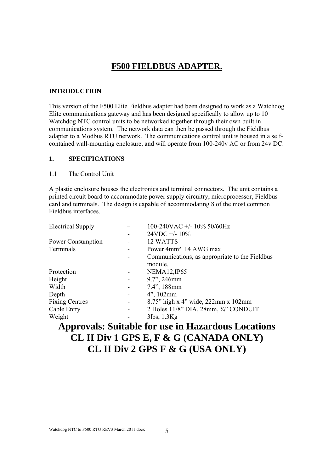## **F500 FIELDBUS ADAPTER.**

#### **INTRODUCTION**

This version of the F500 Elite Fieldbus adapter had been designed to work as a Watchdog Elite communications gateway and has been designed specifically to allow up to 10 Watchdog NTC control units to be networked together through their own built in communications system. The network data can then be passed through the Fieldbus adapter to a Modbus RTU network. The communications control unit is housed in a selfcontained wall-mounting enclosure, and will operate from 100-240v AC or from 24v DC.

#### **1. SPECIFICATIONS**

#### 1.1 The Control Unit

A plastic enclosure houses the electronics and terminal connectors. The unit contains a printed circuit board to accommodate power supply circuitry, microprocessor, Fieldbus card and terminals. The design is capable of accommodating 8 of the most common Fieldbus interfaces.

| <b>Electrical Supply</b> |                              | 100-240VAC +/- 10% 50/60Hz                             |
|--------------------------|------------------------------|--------------------------------------------------------|
|                          |                              | $24VDC + -10\%$                                        |
| Power Consumption        |                              | 12 WATTS                                               |
| Terminals                |                              | Power 4mm <sup>2</sup> 14 AWG max                      |
|                          |                              | Communications, as appropriate to the Fieldbus         |
|                          |                              | module.                                                |
| Protection               |                              | <b>NEMA12, IP65</b>                                    |
| Height                   | $\overline{\phantom{a}}$     | 9.7", 246mm                                            |
| Width                    | $\overline{\phantom{a}}$     | $7.4$ ", 188mm                                         |
| Depth                    | $\overline{\phantom{a}}$     | $4$ ", 102mm                                           |
| <b>Fixing Centres</b>    | $\qquad \qquad \blacksquare$ | 8.75" high x 4" wide, 222mm x 102mm                    |
| Cable Entry              | $\overline{\phantom{a}}$     | 2 Holes $11/8$ " DIA, $28$ mm, $\frac{3}{4}$ " CONDUIT |
| Weight                   |                              | $3$ lbs, $1.3$ Kg                                      |
|                          |                              |                                                        |

## **Approvals: Suitable for use in Hazardous Locations CL II Div 1 GPS E, F & G (CANADA ONLY) CL II Div 2 GPS F & G (USA ONLY)**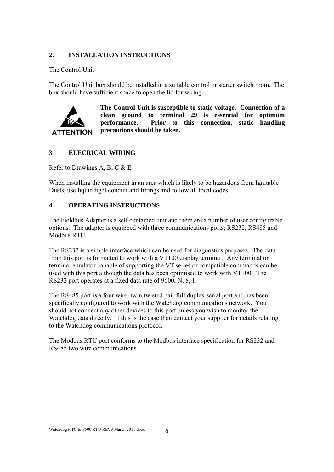#### **2. INSTALLATION INSTRUCTIONS**

#### The Control Unit

The Control Unit box should be installed in a suitable control or starter switch room. The box should have sufficient space to open the lid for wiring.



**The Control Unit is susceptible to static voltage. Connection of a clean ground to terminal 29 is essential for optimum performance. Prior to this connection, static handling precautions should be taken.** 

#### **3 ELECRICAL WIRING**

Refer to Drawings A, B, C & E

When installing the equipment in an area which is likely to be hazardous from Ignitable Dusts, use liquid tight conduit and fittings and follow all local codes.

#### **4 OPERATING INSTRUCTIONS**

The Fieldbus Adapter is a self contained unit and there are a number of user configurable options. The adapter is equipped with three communications ports; RS232, RS485 and Modbus RTU.

The RS232 is a simple interface which can be used for diagnostics purposes. The data from this port is formatted to work with a VT100 display terminal. Any terminal or terminal emulator capable of supporting the VT series or compatible commands can be used with this port although the data has been optimised to work with VT100. The RS232 port operates at a fixed data rate of 9600, N, 8, 1.

The RS485 port is a four wire, twin twisted pair full duplex serial port and has been specifically configured to work with the Watchdog communications network. You should not connect any other devices to this port unless you wish to monitor the Watchdog data directly. If this is the case then contact your supplier for details relating to the Watchdog communications protocol.

The Modbus RTU port conforms to the Modbus interface specification for RS232 and RS485 two wire communications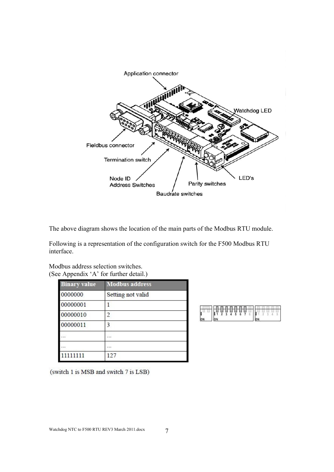

The above diagram shows the location of the main parts of the Modbus RTU module.

Following is a representation of the configuration switch for the F500 Modbus RTU interface.

|                     | (See Appendix 'A' for further detail.) |  |  |
|---------------------|----------------------------------------|--|--|
| <b>Binary</b> value | <b>Modbus address</b>                  |  |  |
| 0000000             | Setting not valid                      |  |  |
| 00000001            |                                        |  |  |
| 00000010            | 2                                      |  |  |
| 00000011            | 3                                      |  |  |
|                     |                                        |  |  |
|                     | .                                      |  |  |
|                     | 127                                    |  |  |

| н<br>Н<br>734567 |  |  |  |
|------------------|--|--|--|
|                  |  |  |  |

(switch 1 is MSB and switch 7 is LSB)

Modbus address selection switches.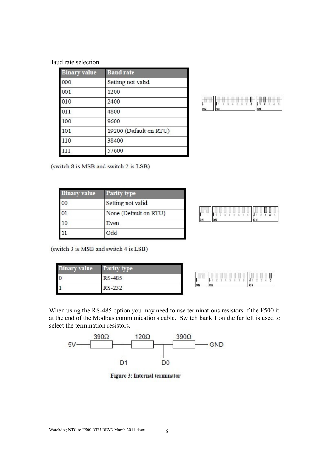Baud rate selection

| <b>Binary value</b> | <b>Baud</b> rate       |
|---------------------|------------------------|
| 000                 | Setting not valid      |
| 001                 | 1200                   |
| 010                 | 2400                   |
| 011                 | 4800                   |
| 100                 | 9600                   |
| 101                 | 19200 (Default on RTU) |
| 110                 | 38400                  |
| 111                 | 57600                  |

|   | _<br>_ |
|---|--------|
| 8 |        |
|   |        |

(switch 8 is MSB and switch 2 is LSB)

| <b>Binary value</b> | Parity type           |           |    |
|---------------------|-----------------------|-----------|----|
| 00                  | Setting not valid     |           |    |
|                     | None (Default on RTU) |           |    |
| 10                  | Even                  | l۵M<br>ЮM | ЮN |
|                     | <b>Ddd</b>            |           |    |



(switch 3 is MSB and switch 4 is LSB)

| 3inary value- | <b>Parity type</b> |    |           |    |
|---------------|--------------------|----|-----------|----|
|               | RS-485             |    | 2 3 4 5 6 | Ш  |
|               | י הכריס מד         | ЮN |           | ON |



When using the RS-485 option you may need to use terminations resistors if the F500 it at the end of the Modbus communications cable. Switch bank 1 on the far left is used to select the termination resistors.



Figure 3: Internal terminator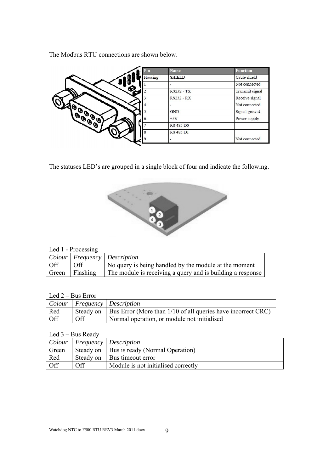The Modbus RTU connections are shown below.

| Pin     | <b>Name</b>       | <b>Function</b> |
|---------|-------------------|-----------------|
| Housing | <b>SHIELD</b>     | Cable shield    |
|         |                   | Not connected   |
|         | <b>RS232 - TX</b> | Transmit signal |
|         | <b>RS232 - RX</b> | Receive signal  |
|         |                   | Not connected   |
|         | <b>GND</b>        | Signal ground   |
| 6       | $+5V$             | Power supply    |
|         | <b>RS 485 DO</b>  |                 |
| 8       | <b>RS 485 D1</b>  |                 |
|         |                   | Not connected   |

The statuses LED's are grouped in a single block of four and indicate the following.



#### Led 1 - Processing

|     |                | Colour   Frequency   Description                           |
|-----|----------------|------------------------------------------------------------|
| Off | Off            | No query is being handled by the module at the moment      |
|     | Green Flashing | The module is receiving a query and is building a response |

#### Led 2 – Bus Error

|     |     | Colour   Frequency   Description                                               |
|-----|-----|--------------------------------------------------------------------------------|
| Red |     | Steady on $\vert$ Bus Error (More than 1/10 of all queries have incorrect CRC) |
| Off | Off | Normal operation, or module not initialised                                    |

Led 3 – Bus Ready

|            |     | Colour   Frequency   Description            |
|------------|-----|---------------------------------------------|
| Green      |     | Steady on   Bus is ready (Normal Operation) |
| Red        |     | Steady on   Bus timeout error               |
| <b>Off</b> | Off | Module is not initialised correctly         |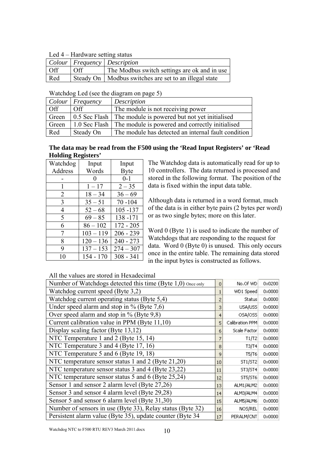Led 4 – Hardware setting status

| $\frac{1}{2}$    |                  |                                                         |  |  |  |
|------------------|------------------|---------------------------------------------------------|--|--|--|
|                  |                  | $ $ Colour   Frequency   Description                    |  |  |  |
| $\overline{Off}$ | $\overline{Off}$ | The Modbus switch settings are ok and in use            |  |  |  |
| Red              |                  | Steady On   Modbus switches are set to an illegal state |  |  |  |

| Colour | $F$ requency      | Description                                                     |
|--------|-------------------|-----------------------------------------------------------------|
| Off    | $\bigcap_{i=1}^n$ | The module is not receiving power                               |
| Green  |                   | 0.5 Sec Flash   The module is powered but not yet initialised   |
| Green  |                   | 1.0 Sec Flash   The module is powered and correctly initialised |
| Red    | Steady On         | The module has detected an internal fault condition             |

#### **The data may be read from the F500 using the 'Read Input Registers' or 'Read Holding Registers'**

| Watchdog | Input       | Input       |
|----------|-------------|-------------|
| Address  | Words       | <b>Byte</b> |
|          |             | $0 - 1$     |
| 1        | $1 - 17$    | $2 - 35$    |
| 2        | $18 - 34$   | $36 - 69$   |
| 3        | $35 - 51$   | $70 - 104$  |
| 4        | $52 - 68$   | $105 - 137$ |
| 5        | $69 - 85$   | 138 - 171   |
| 6        | $86 - 102$  | $172 - 205$ |
| 7        | $103 - 119$ | $206 - 239$ |
| 8        | $120 - 136$ | $240 - 273$ |
| 9        | $137 - 153$ | $274 - 307$ |
| 10       | $154 - 170$ | $308 - 341$ |

The Watchdog data is automatically read for up to 10 controllers. The data returned is processed and stored in the following format. The position of the data is fixed within the input data table.

Although data is returned in a word format, much of the data is in either byte pairs (2 bytes per word) or as two single bytes; more on this later.

Word 0 (Byte 1) is used to indicate the number of Watchdogs that are responding to the request for data. Word 0 (Byte 0) is unused. This only occurs once in the entire table. The remaining data stored in the input bytes is constructed as follows.

All the values are stored in Hexadecimal

| 0  | No.Of WD        | 0x0200          |
|----|-----------------|-----------------|
|    | WD1 Speed       | 0x0000          |
|    | Status          | $0 \times 0000$ |
| 3  | USA/USS         | 0x0000          |
| 4  | OSA/OSS         | $0 \times 0000$ |
| 5  | Calibration PPM | 0x0000          |
| 6  | Scale Factor    | $0 \times 0000$ |
|    | T1/T2           | 0x0000          |
| 8  | T3/T4           | 0x0000          |
| 9  | T5/T6           | $0 \times 0000$ |
| 10 | ST1/ST2         | 0x0000          |
| 11 | ST3/ST4         | $0 \times 0000$ |
| 12 | ST5/ST6         | $0 \times 0000$ |
| 13 | ALM1/ALM2       | 0x0000          |
| 14 | ALM3/ALM4       | $0 \times 0000$ |
| 15 | ALM5/ALM6       | $0 \times 0000$ |
| 16 | NOS/REL         | 0x0000          |
| 17 | PERALM/CNT      | 0x0000          |
|    |                 |                 |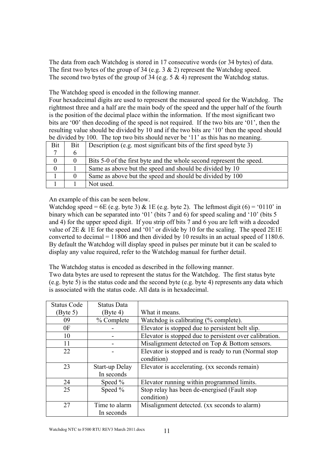The data from each Watchdog is stored in 17 consecutive words (or 34 bytes) of data. The first two bytes of the group of 34 (e.g. 3 & 2) represent the Watchdog speed. The second two bytes of the group of 34 (e.g. 5 & 4) represent the Watchdog status.

The Watchdog speed is encoded in the following manner.

Four hexadecimal digits are used to represent the measured speed for the Watchdog. The rightmost three and a half are the main body of the speed and the upper half of the fourth is the position of the decimal place within the information. If the most significant two bits are '00' then decoding of the speed is not required. If the two bits are '01', then the resulting value should be divided by 10 and if the two bits are '10' then the speed should be divided by 100. The top two bits should never be '11' as this has no meaning.

| Bit      | Bit | Description (e.g. most significant bits of the first speed byte 3)   |
|----------|-----|----------------------------------------------------------------------|
|          |     |                                                                      |
| $\theta$ |     | Bits 5-0 of the first byte and the whole second represent the speed. |
| $\theta$ |     | Same as above but the speed and should be divided by 10              |
|          |     | Same as above but the speed and should be divided by 100             |
|          |     | Not used.                                                            |

An example of this can be seen below.

Watchdog speed = 6E (e.g. byte 3) & 1E (e.g. byte 2). The leftmost digit (6) = '0110' in binary which can be separated into '01' (bits 7 and 6) for speed scaling and '10' (bits 5 and 4) for the upper speed digit. If you strip off bits 7 and 6 you are left with a decoded value of 2E & 1E for the speed and '01' or divide by 10 for the scaling. The speed 2E1E converted to decimal = 11806 and then divided by 10 results in an actual speed of 1180.6. By default the Watchdog will display speed in pulses per minute but it can be scaled to display any value required, refer to the Watchdog manual for further detail.

The Watchdog status is encoded as described in the following manner.

Two data bytes are used to represent the status for the Watchdog. The first status byte (e.g. byte 5) is the status code and the second byte (e.g. byte 4) represents any data which is associated with the status code. All data is in hexadecimal.

| <b>Status Code</b> | <b>Status Data</b> |                                                         |
|--------------------|--------------------|---------------------------------------------------------|
| (Byte 5)           | (Byte 4)           | What it means.                                          |
| 09                 | % Complete         | Watchdog is calibrating (% complete).                   |
| 0 <sub>F</sub>     |                    | Elevator is stopped due to persistent belt slip.        |
| 10                 |                    | Elevator is stopped due to persistent over calibration. |
| 11                 |                    | Misalignment detected on Top & Bottom sensors.          |
| 22                 |                    | Elevator is stopped and is ready to run (Normal stop)   |
|                    |                    | condition)                                              |
| 23                 | Start-up Delay     | Elevator is accelerating. (xx seconds remain)           |
|                    | In seconds         |                                                         |
| 24                 | Speed %            | Elevator running within programmed limits.              |
| 25                 | Speed %            | Stop relay has been de-energised (Fault stop            |
|                    |                    | condition)                                              |
| 27                 | Time to alarm      | Misalignment detected. (xx seconds to alarm)            |
|                    | In seconds         |                                                         |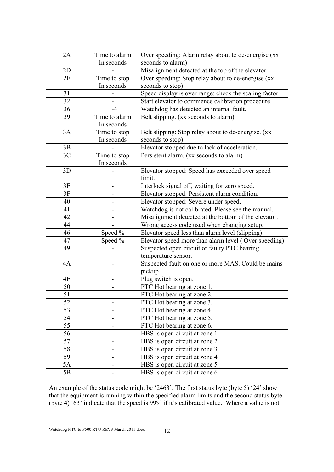| 2A | Time to alarm | Over speeding: Alarm relay about to de-energise (xx    |
|----|---------------|--------------------------------------------------------|
|    | In seconds    | seconds to alarm)                                      |
| 2D |               | Misalignment detected at the top of the elevator.      |
| 2F | Time to stop  | Over speeding: Stop relay about to de-energise (xx     |
|    | In seconds    | seconds to stop)                                       |
| 31 |               | Speed display is over range: check the scaling factor. |
| 32 |               | Start elevator to commence calibration procedure.      |
| 36 | $1-4$         | Watchdog has detected an internal fault.               |
| 39 | Time to alarm | Belt slipping. (xx seconds to alarm)                   |
|    | In seconds    |                                                        |
| 3A | Time to stop  | Belt slipping: Stop relay about to de-energise. (xx    |
|    | In seconds    | seconds to stop)                                       |
| 3B |               | Elevator stopped due to lack of acceleration.          |
| 3C | Time to stop  | Persistent alarm. (xx seconds to alarm)                |
|    | In seconds    |                                                        |
| 3D |               | Elevator stopped: Speed has exceeded over speed        |
|    |               | limit.                                                 |
| 3E |               | Interlock signal off, waiting for zero speed.          |
| 3F |               | Elevator stopped: Persistent alarm condition.          |
| 40 |               | Elevator stopped: Severe under speed.                  |
| 41 |               | Watchdog is not calibrated: Please see the manual.     |
| 42 |               | Misalignment detected at the bottom of the elevator.   |
| 44 |               | Wrong access code used when changing setup.            |
| 46 | Speed %       | Elevator speed less than alarm level (slipping)        |
| 47 | Speed %       | Elevator speed more than alarm level (Over speeding)   |
| 49 |               | Suspected open circuit or faulty PTC bearing           |
|    |               | temperature sensor.                                    |
| 4A |               | Suspected fault on one or more MAS. Could be mains     |
|    |               | pickup.                                                |
| 4E |               | Plug switch is open.                                   |
| 50 |               | PTC Hot bearing at zone 1.                             |
| 51 |               | PTC Hot bearing at zone 2.                             |
| 52 |               | PTC Hot bearing at zone 3.                             |
| 53 |               | PTC Hot bearing at zone 4.                             |
| 54 |               | PTC Hot bearing at zone 5.                             |
| 55 |               | PTC Hot bearing at zone 6.                             |
| 56 |               | HBS is open circuit at zone 1                          |
| 57 |               | HBS is open circuit at zone 2                          |
| 58 |               | HBS is open circuit at zone 3                          |
| 59 |               | HBS is open circuit at zone 4                          |
| 5A |               | HBS is open circuit at zone 5                          |
| 5B |               | HBS is open circuit at zone 6                          |

An example of the status code might be '2463'. The first status byte (byte 5) '24' show that the equipment is running within the specified alarm limits and the second status byte (byte 4) '63' indicate that the speed is 99% if it's calibrated value. Where a value is not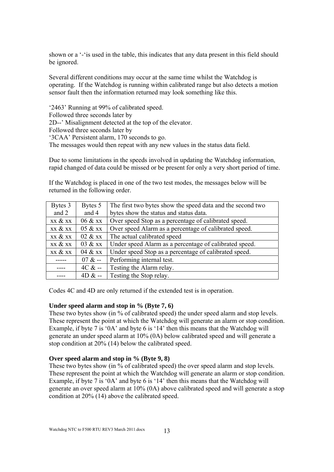shown or a '-'is used in the table, this indicates that any data present in this field should be ignored.

Several different conditions may occur at the same time whilst the Watchdog is operating. If the Watchdog is running within calibrated range but also detects a motion sensor fault then the information returned may look something like this.

'2463' Running at 99% of calibrated speed. Followed three seconds later by 2D--' Misalignment detected at the top of the elevator. Followed three seconds later by '3CAA' Persistent alarm, 170 seconds to go. The messages would then repeat with any new values in the status data field.

Due to some limitations in the speeds involved in updating the Watchdog information, rapid changed of data could be missed or be present for only a very short period of time.

If the Watchdog is placed in one of the two test modes, the messages below will be returned in the following order.

| Bytes 3 | Bytes 5  | The first two bytes show the speed data and the second two |
|---------|----------|------------------------------------------------------------|
| and 2   | and 4    | bytes show the status and status data.                     |
| xx & xx | 06 & xx  | Over speed Stop as a percentage of calibrated speed.       |
| xx & xx | 05 & xx  | Over speed Alarm as a percentage of calibrated speed.      |
| xx & xx | 02 & xx  | The actual calibrated speed                                |
| xx & xx | 03 & xx  | Under speed Alarm as a percentage of calibrated speed.     |
| xx & xx | 04 & xx  | Under speed Stop as a percentage of calibrated speed.      |
|         | $07 & -$ | Performing internal test.                                  |
|         | $4C & -$ | Testing the Alarm relay.                                   |
|         | $4D & -$ | Testing the Stop relay.                                    |

Codes 4C and 4D are only returned if the extended test is in operation.

#### **Under speed alarm and stop in % (Byte 7, 6)**

These two bytes show (in % of calibrated speed) the under speed alarm and stop levels. These represent the point at which the Watchdog will generate an alarm or stop condition. Example, if byte 7 is '0A' and byte 6 is '14' then this means that the Watchdog will generate an under speed alarm at 10% (0A) below calibrated speed and will generate a stop condition at 20% (14) below the calibrated speed.

#### **Over speed alarm and stop in % (Byte 9, 8)**

These two bytes show (in % of calibrated speed) the over speed alarm and stop levels. These represent the point at which the Watchdog will generate an alarm or stop condition. Example, if byte 7 is '0A' and byte 6 is '14' then this means that the Watchdog will generate an over speed alarm at 10% (0A) above calibrated speed and will generate a stop condition at 20% (14) above the calibrated speed.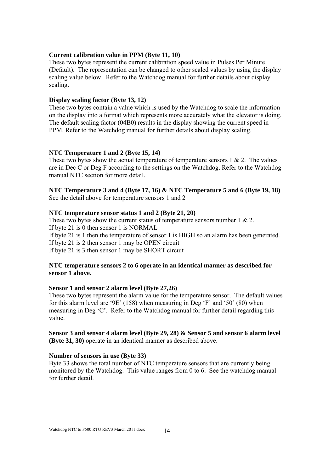#### **Current calibration value in PPM (Byte 11, 10)**

These two bytes represent the current calibration speed value in Pulses Per Minute (Default). The representation can be changed to other scaled values by using the display scaling value below. Refer to the Watchdog manual for further details about display scaling.

#### **Display scaling factor (Byte 13, 12)**

These two bytes contain a value which is used by the Watchdog to scale the information on the display into a format which represents more accurately what the elevator is doing. The default scaling factor (04B0) results in the display showing the current speed in PPM. Refer to the Watchdog manual for further details about display scaling.

#### **NTC Temperature 1 and 2 (Byte 15, 14)**

These two bytes show the actual temperature of temperature sensors  $1 \& 2$ . The values are in Dec C or Deg F according to the settings on the Watchdog. Refer to the Watchdog manual NTC section for more detail.

#### **NTC Temperature 3 and 4 (Byte 17, 16) & NTC Temperature 5 and 6 (Byte 19, 18)**  See the detail above for temperature sensors 1 and 2

#### **NTC temperature sensor status 1 and 2 (Byte 21, 20)**

These two bytes show the current status of temperature sensors number 1 & 2. If byte 21 is 0 then sensor 1 is NORMAL If byte 21 is 1 then the temperature of sensor 1 is HIGH so an alarm has been generated. If byte 21 is 2 then sensor 1 may be OPEN circuit If byte 21 is 3 then sensor 1 may be SHORT circuit

#### **NTC temperature sensors 2 to 6 operate in an identical manner as described for sensor 1 above.**

#### **Sensor 1 and sensor 2 alarm level (Byte 27,26)**

These two bytes represent the alarm value for the temperature sensor. The default values for this alarm level are '9E' (158) when measuring in Deg 'F' and '50' (80) when measuring in Deg 'C'. Refer to the Watchdog manual for further detail regarding this value.

#### **Sensor 3 and sensor 4 alarm level (Byte 29, 28) & Sensor 5 and sensor 6 alarm level (Byte 31, 30)** operate in an identical manner as described above.

#### **Number of sensors in use (Byte 33)**

Byte 33 shows the total number of NTC temperature sensors that are currently being monitored by the Watchdog. This value ranges from 0 to 6. See the watchdog manual for further detail.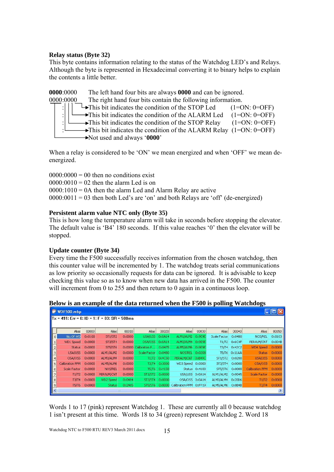#### **Relay status (Byte 32)**

This byte contains information relating to the status of the Watchdog LED's and Relays. Although the byte is represented in Hexadecimal converting it to binary helps to explain the contents a little better.

**0000**:0000 The left hand four bits are always **0000** and can be ignored. 0000:0000 The right hand four bits contain the following information.  $\rightarrow$  This bit indicates the condition of the STOP Led (1=ON: 0=OFF)  $\rightarrow$ This bit indicates the condition of the ALARM Led (1=ON: 0=OFF) This bit indicates the condition of the STOP Relay  $(1=ON: 0=OFF)$ This bit indicates the condition of the ALARM Relay  $(1=ON: 0=OFF)$ Not used and always '**0000**'

When a relay is considered to be 'ON' we mean energized and when 'OFF' we mean deenergized.

 $0000:0000 = 00$  then no conditions exist  $0000 \cdot 0010 = 02$  then the alarm Led is on  $0000:1010 = 0A$  then the alarm Led and Alarm Relay are active  $0000:0011 = 03$  then both Led's are 'on' and both Relays are 'off' (de-energized)

#### **Persistent alarm value NTC only (Byte 35)**

This is how long the temperature alarm will take in seconds before stopping the elevator. The default value is 'B4' 180 seconds. If this value reaches '0' then the elevator will be stopped.

#### **Update counter (Byte 34)**

Every time the F500 successfully receives information from the chosen watchdog, then this counter value will be incremented by 1. The watchdog treats serial communications as low priority so occasionally requests for data can be ignored. It is advisable to keep checking this value so as to know when new data has arrived in the F500. The counter will increment from 0 to 255 and then return to 0 again in a continuous loop.

|          | WDF500.mbp                                        |                 |                |                 |                |                 |                   |                 |                |                 |                     |                 |
|----------|---------------------------------------------------|-----------------|----------------|-----------------|----------------|-----------------|-------------------|-----------------|----------------|-----------------|---------------------|-----------------|
|          | $T_x = 491$ : Err = 0: ID = 1: F = 03: SR = 500ms |                 |                |                 |                |                 |                   |                 |                |                 |                     |                 |
|          |                                                   |                 |                |                 |                |                 |                   |                 |                |                 |                     |                 |
|          | Alias                                             | 00000           | Alias          | 00010           | Alias          | 00020           | Alias             | 00030           | Alias          | 00040           | Alias               | 00050           |
| $\Omega$ | No.Of WD                                          | 0x0100          | ST1/ST2        | $0 \times 0000$ | USA/USS        | $0 \times 0A14$ | ALM1/ALM2         | 0x9E9E          | Scale Factor   | 0x04B0          | NOS/REL             | $0 \times 0103$ |
|          | WD1 Speed                                         | 0x0000          | ST3/ST4        | 0x0000          | OSA/OSS 0x0A14 |                 | ALM3/ALM4 0x9E9E  |                 |                | T1/T2 0x6C4F    | PERALM/CNT          | $0 \times 004B$ |
|          | Status.                                           | $0 \times 0000$ | <b>ST5/ST6</b> | 0x0000          | Calibration P  | 0x0475          | ALM5/ALM6 0x9E9E  |                 |                | T3/T4 0x42C2    | WD4 Speed           | $0 \times 0000$ |
|          | USA/USS                                           | $0 \times 0000$ | ALM1/ALM2      | 0x0000          | Scale Factor   | 0x0480          | NOS/REL           | $0 \times 0208$ |                | T5/T6 0x11AA    | <b>Status</b>       | $0 \times 0000$ |
|          | OSA/OSS                                           | 0x0000          | ALM3/ALM4      | 0x0000          |                | T1/T2 0x4C50    | PERALM/CNT 0xB49C |                 |                | ST1/ST2 0x0200  | USA/USS             | 0x0000          |
| 5        | Calibration PPM                                   | $0 \times 0000$ | ALM5/ALM6      | 0x0000          | T3/T4          | 0x3000          | WD3 Speed         | 0x0000          | ST3/ST4        | $0 \times 0000$ | OSA/OSS             | $0 \times 0000$ |
| 6        | Scale Factor                                      | $0 \times 0000$ | NOS/REL        | 0x0000          |                | T5/T6 0x4158    |                   | Status 0x4100   | <b>ST5/ST6</b> | $0 \times 0000$ | Calibration PPM     | $0 \times 0000$ |
|          | T1/T2                                             | 0x0000          | PERALM/CNT     | 0x0000          | <b>ST1/ST2</b> | $0 \times 0000$ | USA/USS 0x0A14    |                 | ALM1/ALM2      | $0\times0045$   | <b>Scale Factor</b> | $0 \times 0000$ |
| 8        | T3/T4                                             | 0x0000          | WD2 Speed      | 0x0484          | <b>ST3/ST4</b> | $0 \times 0000$ | OSA/OSS 0x0A14    |                 | ALM3/ALM4      | $0 \times 20D6$ | T1/T2               | $0 \times 0000$ |
| 9        | <b>T5/T6</b>                                      | 0x0000          | <b>Status</b>  | 0x2465          | ST5/ST6        | 0x0000          | Calibration PPM   | 0xFF19          | ALM5/ALM6      | $0 \times 8B4B$ | T3/T4               | $0 \times 0000$ |
|          | Ш                                                 |                 |                |                 |                |                 |                   |                 |                |                 |                     |                 |

|  |  | Below is an example of the data returned when the F500 is polling Watchdogs |
|--|--|-----------------------------------------------------------------------------|
|  |  |                                                                             |

Words 1 to 17 (pink) represent Watchdog 1. These are currently all 0 because watchdog 1 isn't present at this time. Words 18 to 34 (green) represent Watchdog 2. Word 18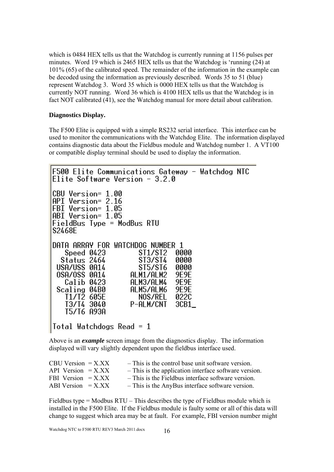which is 0484 HEX tells us that the Watchdog is currently running at 1156 pulses per minutes. Word 19 which is 2465 HEX tells us that the Watchdog is 'running (24) at 101% (65) of the calibrated speed. The remainder of the information in the example can be decoded using the information as previously described. Words 35 to 51 (blue) represent Watchdog 3. Word 35 which is 0000 HEX tells us that the Watchdog is currently NOT running. Word 36 which is 4100 HEX tells us that the Watchdog is in fact NOT calibrated (41), see the Watchdog manual for more detail about calibration.

#### **Diagnostics Display.**

The F500 Elite is equipped with a simple RS232 serial interface. This interface can be used to monitor the communications with the Watchdog Elite. The information displayed contains diagnostic data about the Fieldbus module and Watchdog number 1. A VT100 or compatible display terminal should be used to display the information.

```
F500 Elite Communications Gateway - Watchdog NTC
Elite Software Version -3.2.0CBU Version= 1.00
API Version= 2.16<br>FBI Version= 1.05
ABI Version= 1.05
FieldBus Type = ModBus RTU
S2468E
DATA ARRAY FOR WATCHDOG NUMBER 1
   Speed 0423
                       ST1/ST2
                                 0000
  Status 2464
                       ST3/ST4
                                 0000
 USA/USS 0A14
                       ST5/ST6
                                 AAAA
                                 9E9E
 OSA/OSS 0A14
                    ALM1/ALM2
                                 9E9E
   Calib 0423
                    ALM3/ALM4
                    ALM5/ALM6
 Scaling 04B0
                                 9E9E
   T1/T2 605E
                       NOS/REL
                                 0220
   T3/T4 3040
                    P-ALM/CNT
                                 3CB1\_T5/T6 A93A
Total Watchdogs Read = 1
```
Above is an *example* screen image from the diagnostics display. The information displayed will vary slightly dependent upon the fieldbus interface used.

| $CBU Version = X.XX$     | - This is the control base unit software version.     |
|--------------------------|-------------------------------------------------------|
| API Version $=X$ . $XX$  | - This is the application interface software version. |
| FBI Version $=$ X.XX     | - This is the Fieldbus interface software version.    |
| ABI Version $= X$ . $XX$ | - This is the AnyBus interface software version.      |

Fieldbus type = Modbus RTU – This describes the type of Fieldbus module which is installed in the F500 Elite. If the Fieldbus module is faulty some or all of this data will change to suggest which area may be at fault. For example, FBI version number might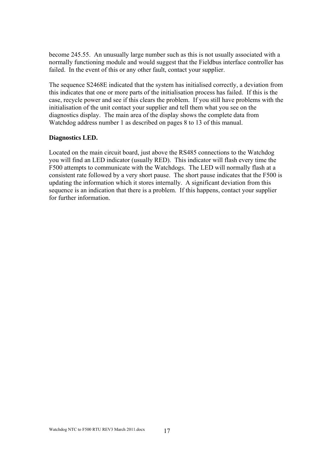become 245.55. An unusually large number such as this is not usually associated with a normally functioning module and would suggest that the Fieldbus interface controller has failed. In the event of this or any other fault, contact your supplier.

The sequence S2468E indicated that the system has initialised correctly, a deviation from this indicates that one or more parts of the initialisation process has failed. If this is the case, recycle power and see if this clears the problem. If you still have problems with the initialisation of the unit contact your supplier and tell them what you see on the diagnostics display. The main area of the display shows the complete data from Watchdog address number 1 as described on pages 8 to 13 of this manual.

#### **Diagnostics LED.**

Located on the main circuit board, just above the RS485 connections to the Watchdog you will find an LED indicator (usually RED). This indicator will flash every time the F500 attempts to communicate with the Watchdogs. The LED will normally flash at a consistent rate followed by a very short pause. The short pause indicates that the F500 is updating the information which it stores internally. A significant deviation from this sequence is an indication that there is a problem. If this happens, contact your supplier for further information.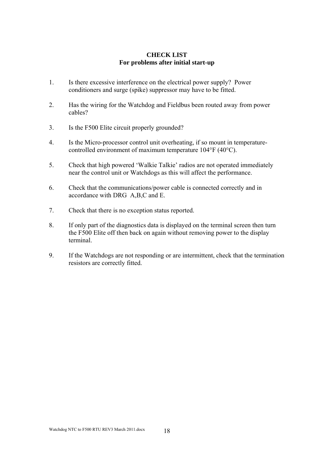#### **CHECK LIST For problems after initial start-up**

- 1. Is there excessive interference on the electrical power supply? Power conditioners and surge (spike) suppressor may have to be fitted.
- 2. Has the wiring for the Watchdog and Fieldbus been routed away from power cables?
- 3. Is the F500 Elite circuit properly grounded?
- 4. Is the Micro-processor control unit overheating, if so mount in temperaturecontrolled environment of maximum temperature 104°F (40°C).
- 5. Check that high powered 'Walkie Talkie' radios are not operated immediately near the control unit or Watchdogs as this will affect the performance.
- 6. Check that the communications/power cable is connected correctly and in accordance with DRG A,B,C and E.
- 7. Check that there is no exception status reported.
- 8. If only part of the diagnostics data is displayed on the terminal screen then turn the F500 Elite off then back on again without removing power to the display terminal.
- 9. If the Watchdogs are not responding or are intermittent, check that the termination resistors are correctly fitted.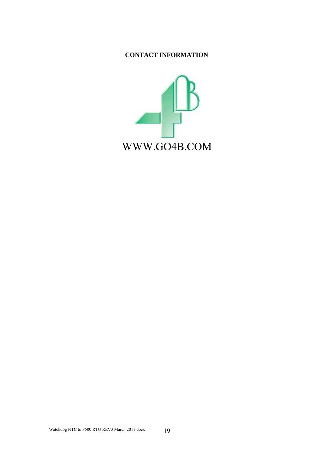### **CONTACT INFORMATION**

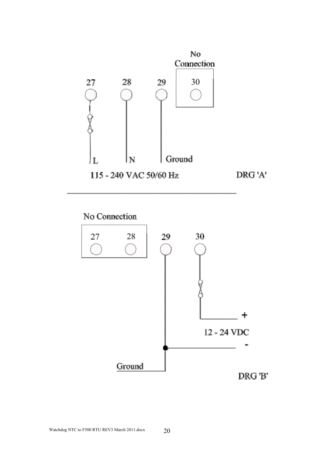

## No Connection

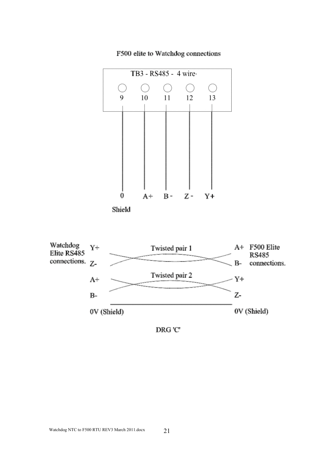

F500 elite to Watchdog connections



 $\mathop{\rm DRG}\nolimits$ 'C'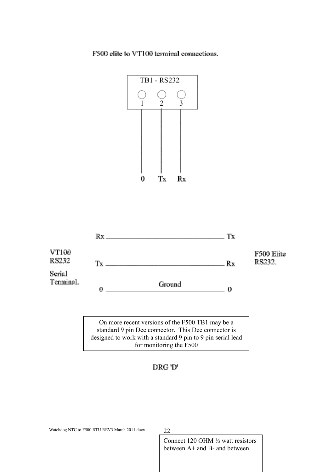F500 elite to VT100 terminal connections.





On more recent versions of the F500 TB1 may be a standard 9 pin Dee connector. This Dee connector is designed to work with a standard 9 pin to 9 pin serial lead for monitoring the F500

### DRG 'D'

Watchdog NTC to F500 RTU REV3 March 2011.docx 22

Connect 120 OHM ½ watt resistors between A+ and B- and between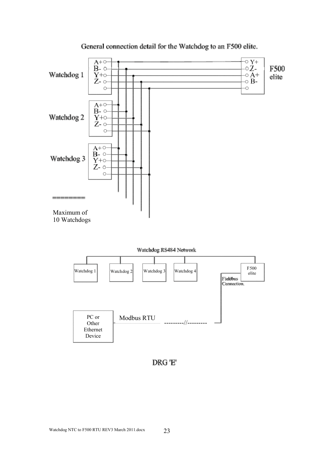

#### General connection detail for the Watchdog to an F500 elite.

DRG 'E'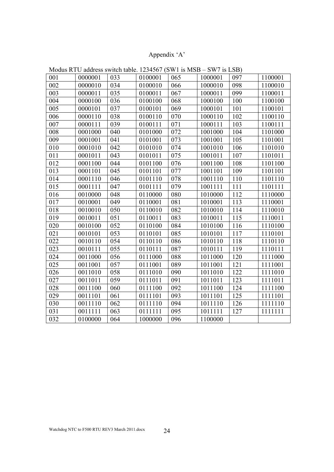## Appendix 'A'

| 001 | 0000001 | 033 | 0100001 | 065 | 1000001 | 097 | 1100001 |
|-----|---------|-----|---------|-----|---------|-----|---------|
| 002 | 0000010 | 034 | 0100010 | 066 | 1000010 | 098 | 1100010 |
| 003 | 0000011 | 035 | 0100011 | 067 | 1000011 | 099 | 1100011 |
| 004 | 0000100 | 036 | 0100100 | 068 | 1000100 | 100 | 1100100 |
| 005 | 0000101 | 037 | 0100101 | 069 | 1000101 | 101 | 1100101 |
| 006 | 0000110 | 038 | 0100110 | 070 | 1000110 | 102 | 1100110 |
| 007 | 0000111 | 039 | 0100111 | 071 | 1000111 | 103 | 1100111 |
| 008 | 0001000 | 040 | 0101000 | 072 | 1001000 | 104 | 1101000 |
| 009 | 0001001 | 041 | 0101001 | 073 | 1001001 | 105 | 1101001 |
| 010 | 0001010 | 042 | 0101010 | 074 | 1001010 | 106 | 1101010 |
| 011 | 0001011 | 043 | 0101011 | 075 | 1001011 | 107 | 1101011 |
| 012 | 0001100 | 044 | 0101100 | 076 | 1001100 | 108 | 1101100 |
| 013 | 0001101 | 045 | 0101101 | 077 | 1001101 | 109 | 1101101 |
| 014 | 0001110 | 046 | 0101110 | 078 | 1001110 | 110 | 1101110 |
| 015 | 0001111 | 047 | 0101111 | 079 | 1001111 | 111 | 1101111 |
| 016 | 0010000 | 048 | 0110000 | 080 | 1010000 | 112 | 1110000 |
| 017 | 0010001 | 049 | 0110001 | 081 | 1010001 | 113 | 1110001 |
| 018 | 0010010 | 050 | 0110010 | 082 | 1010010 | 114 | 1110010 |
| 019 | 0010011 | 051 | 0110011 | 083 | 1010011 | 115 | 1110011 |
| 020 | 0010100 | 052 | 0110100 | 084 | 1010100 | 116 | 1110100 |
| 021 | 0010101 | 053 | 0110101 | 085 | 1010101 | 117 | 1110101 |
| 022 | 0010110 | 054 | 0110110 | 086 | 1010110 | 118 | 1110110 |
| 023 | 0010111 | 055 | 0110111 | 087 | 1010111 | 119 | 1110111 |
| 024 | 0011000 | 056 | 0111000 | 088 | 1011000 | 120 | 1111000 |
| 025 | 0011001 | 057 | 0111001 | 089 | 1011001 | 121 | 1111001 |
| 026 | 0011010 | 058 | 0111010 | 090 | 1011010 | 122 | 1111010 |
| 027 | 0011011 | 059 | 0111011 | 091 | 1011011 | 123 | 1111011 |
| 028 | 0011100 | 060 | 0111100 | 092 | 1011100 | 124 | 1111100 |
| 029 | 0011101 | 061 | 0111101 | 093 | 1011101 | 125 | 1111101 |
| 030 | 0011110 | 062 | 0111110 | 094 | 1011110 | 126 | 1111110 |
| 031 | 0011111 | 063 | 0111111 | 095 | 1011111 | 127 | 1111111 |
| 032 | 0100000 | 064 | 1000000 | 096 | 1100000 |     |         |

Modus RTU address switch table. 1234567 (SW1 is MSB – SW7 is LSB)